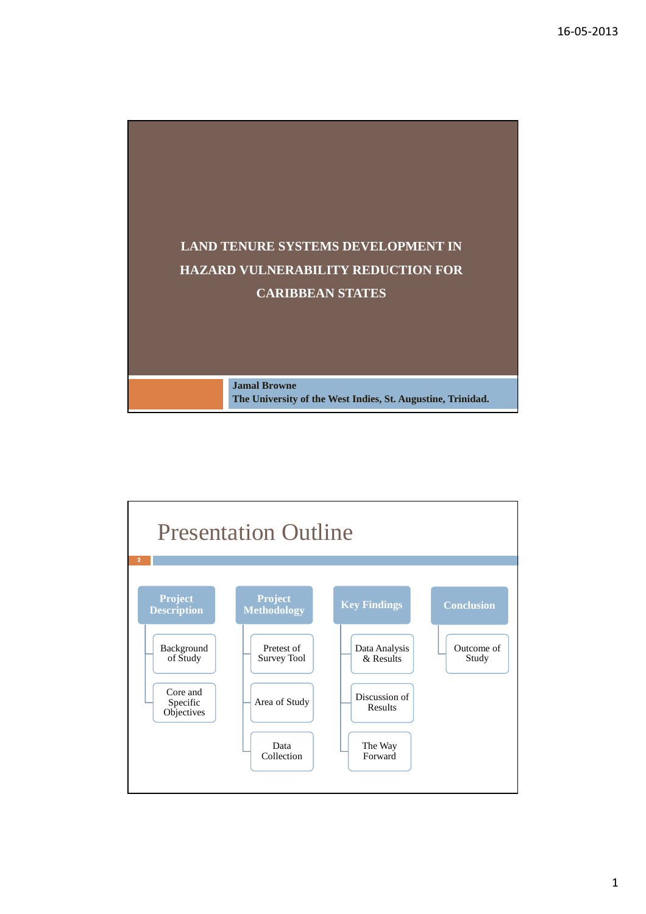

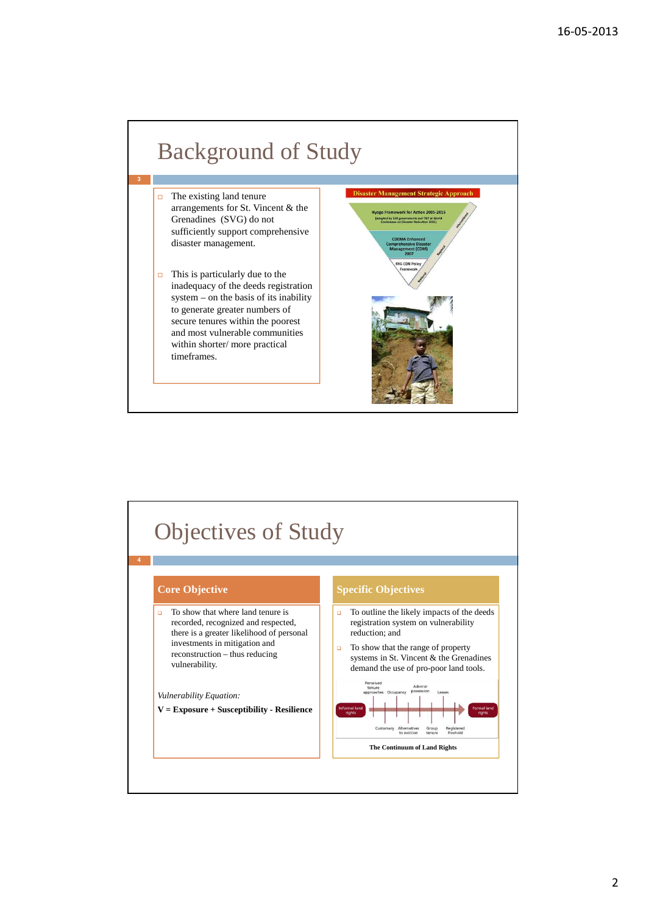

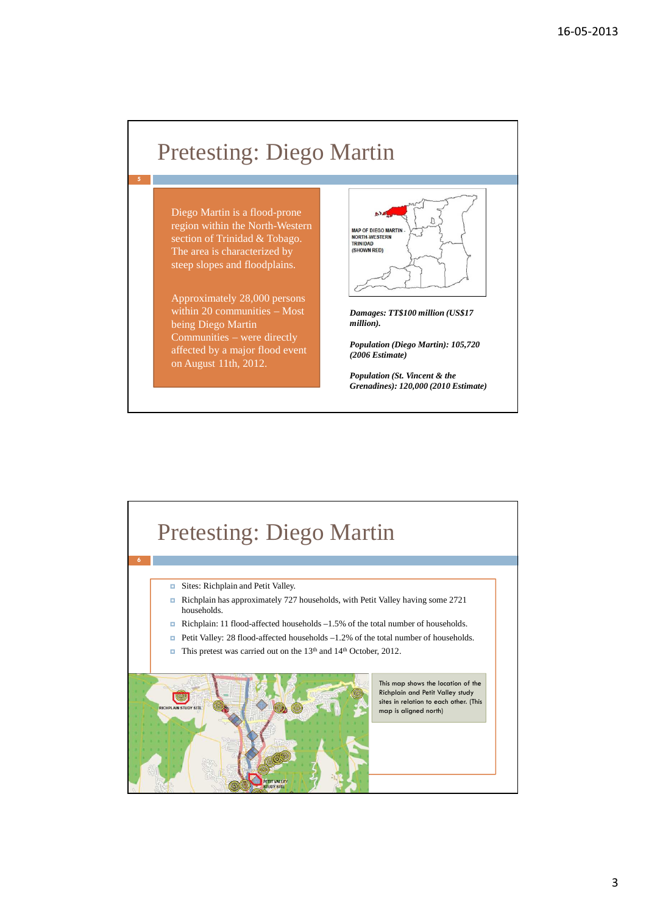# Pretesting: Diego Martin

Diego Martin is a flood-prone region within the North-Western section of Trinidad & Tobago. The area is characterized by steep slopes and floodplains.

5

Approximately 28,000 persons within 20 communities – Most being Diego Martin Communities – were directly affected by a major flood event on August 11th, 2012.



*Damages: TT\$100 million (US\$17 million).* 

*Population (Diego Martin): 105,720 (2006 Estimate)* 

*Population (St. Vincent & the Grenadines): 120,000 (2010 Estimate)*

### Pretesting: Diego Martin 6 Sites: Richplain and Petit Valley. Richplain has approximately 727 households, with Petit Valley having some 2721 households. Richplain: 11 flood-affected households  $-1.5\%$  of the total number of households. ■ Petit Valley: 28 flood-affected households –1.2% of the total number of households. ■ This pretest was carried out on the 13<sup>th</sup> and 14<sup>th</sup> October, 2012. This map shows the location of the Richplain and Petit Valley study **KOW** sites in relation to each other. (This map is aligned north)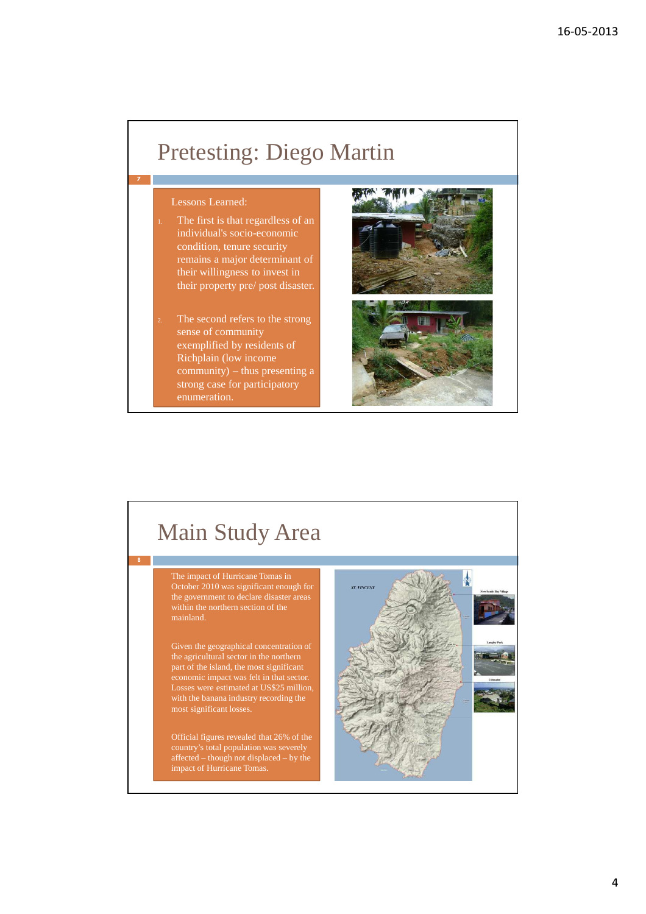### Pretesting: Diego Martin

### Lessons Learned:

7

8

- The first is that regardless of an individual's socio-economic condition, tenure security remains a major determinant of their willingness to invest in their property pre/ post disaster.
- The second refers to the strong sense of community exemplified by residents of Richplain (low income  $\overrightarrow{community}$  – thus presenting a strong case for participatory



# Main Study Area

 The impact of Hurricane Tomas in the government to declare disaster areas

 Given the geographical concentration of the agricultural sector in the northern part of the island, the most significant economic impact was felt in that sector. Losses were estimated at US\$25 million, with the banana industry recording the most significant losses.

 Official figures revealed that 26% of the country's total population was severely affected – though not displaced – by the impact of Hurricane Tomas.

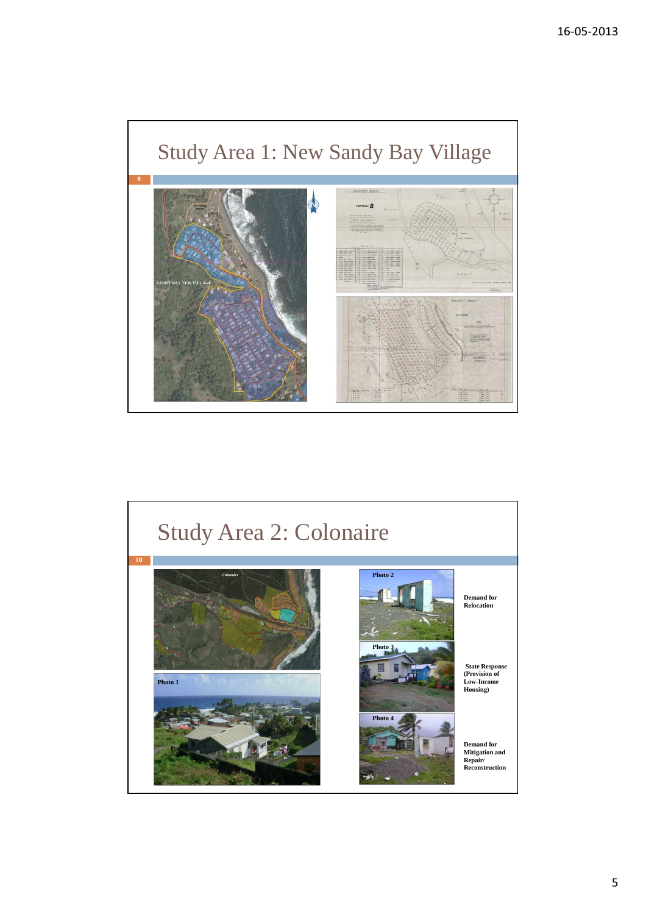

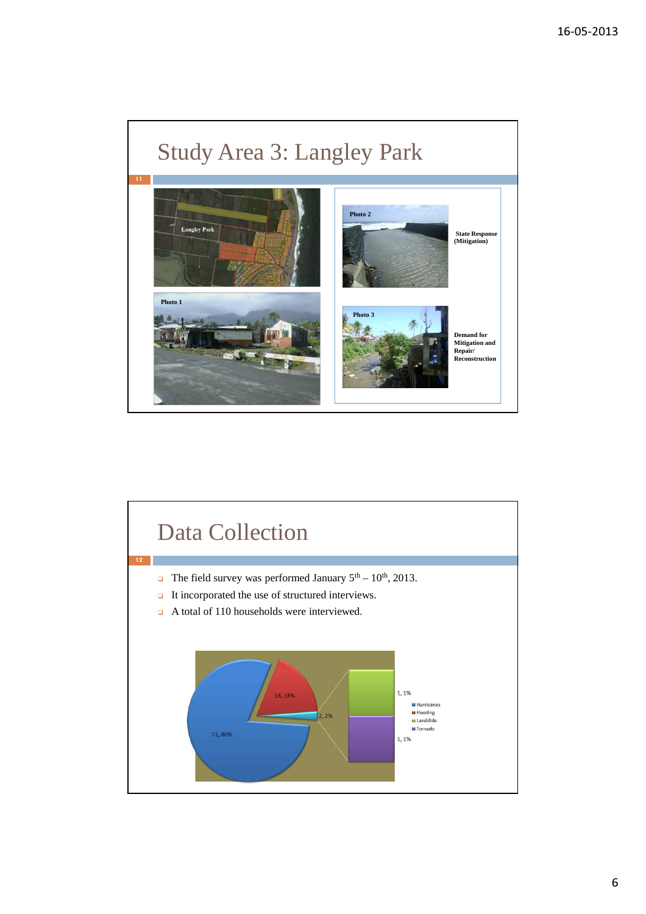



6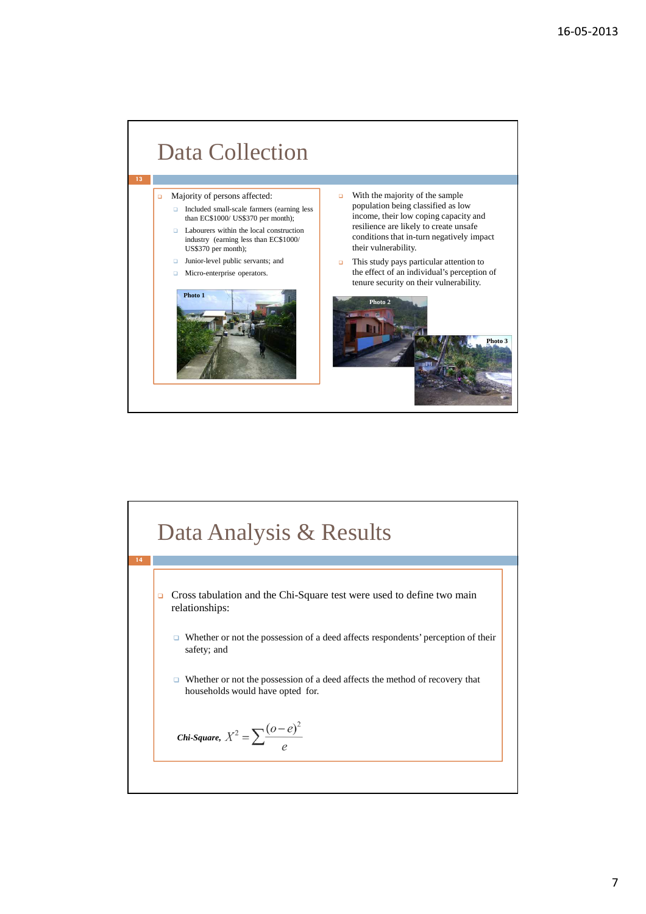



7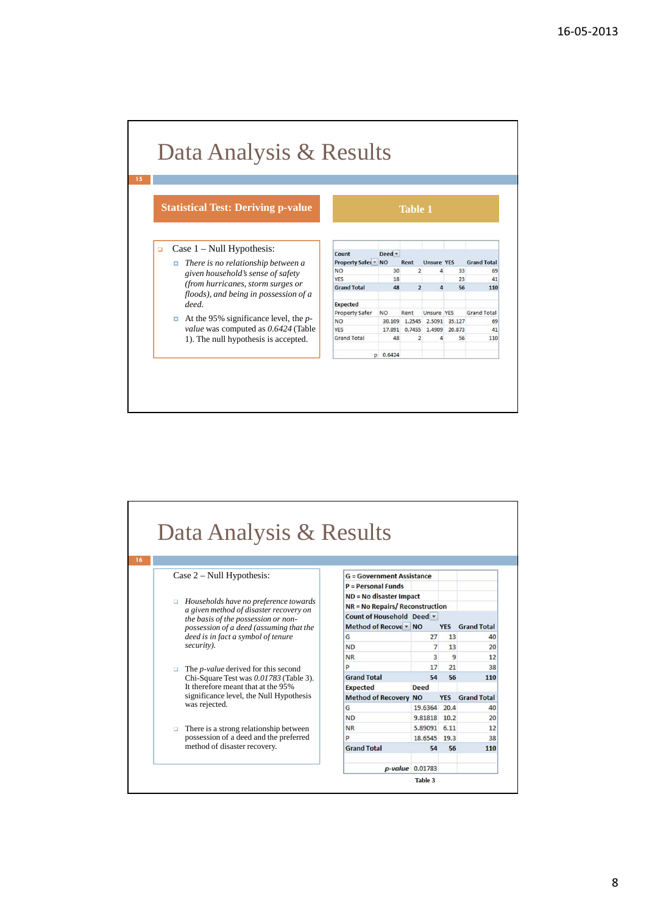#### Data Analysis & Results **Statistical Test: Deriving p-value Table 1**  Case 1 – Null Hypothesis: -Count Deed  $\overline{\phantom{a}}$  *There is no relationship between a*  Property Safet v NO **Unsure YES Grand Total** Rent **NO**  $\overline{30}$ 4  $\overline{33}$  $65$ *given household's sense of safety*  YES 18  $23$  $41$ *(from hurricanes, storm surges or*  **Grand Total** 48  $\overline{2}$  $\overline{a}$ 56 110 *floods), and being in possession of a deed.* Expected Property Safer N<sub>O</sub> Rent Unsure YES **Grand Total**  At the 95% significance level, the *p-*30.109 1.2545 2.5091 35.127 N<sub>O</sub> 69 *value* was computed as *0.6424* (Table YES 17.891 0.7455 1.4909 20.873  $41$ 1). The null hypothesis is accepted. Grand Total 48  $\overline{4}$ 56 110 p 0.6424

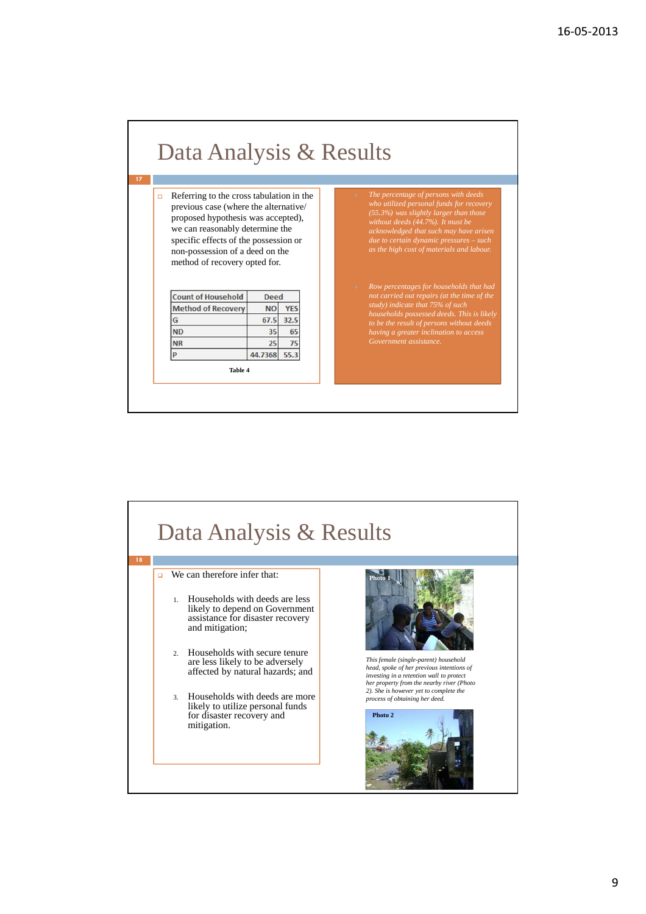

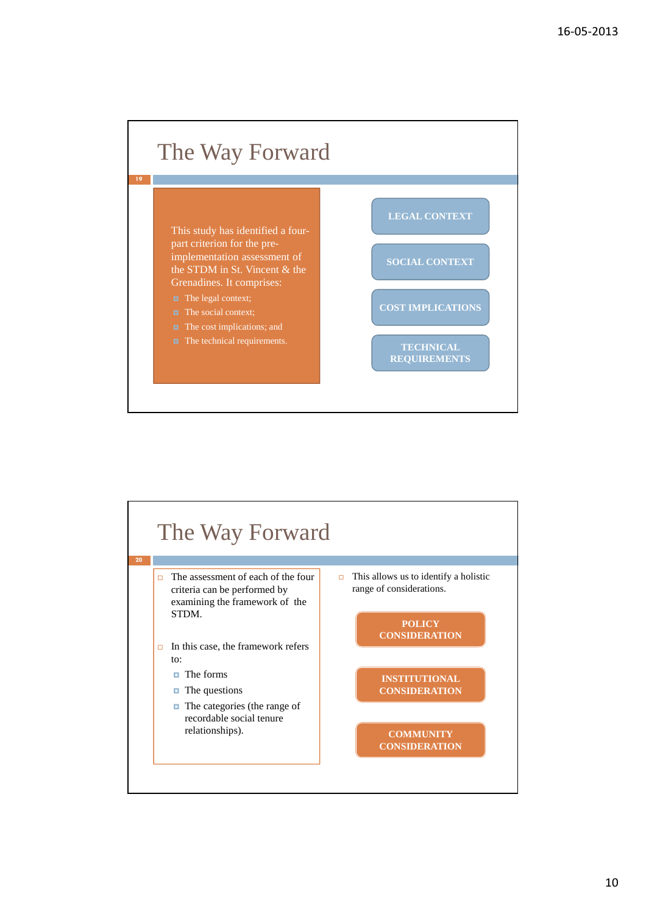

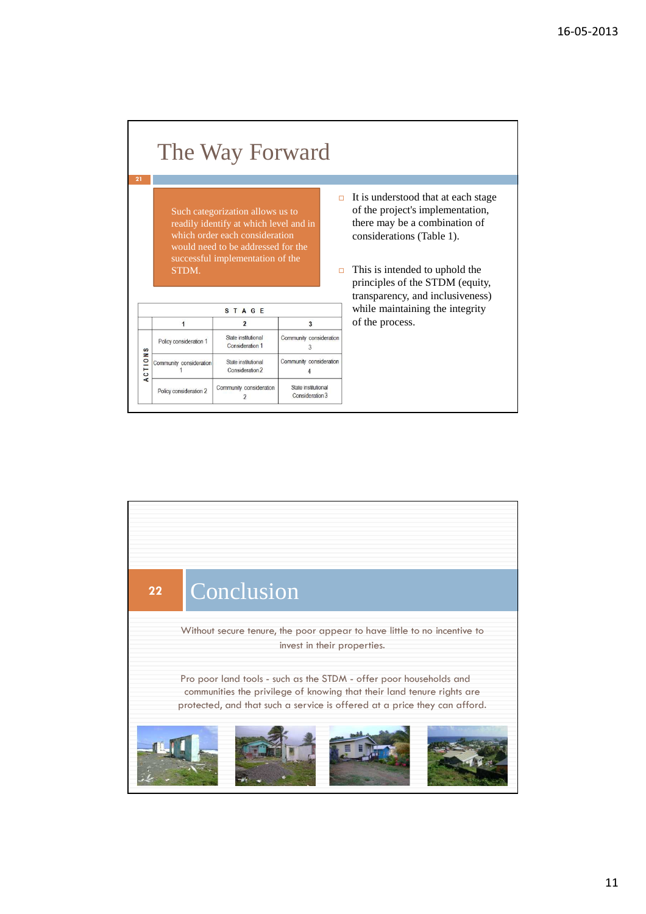